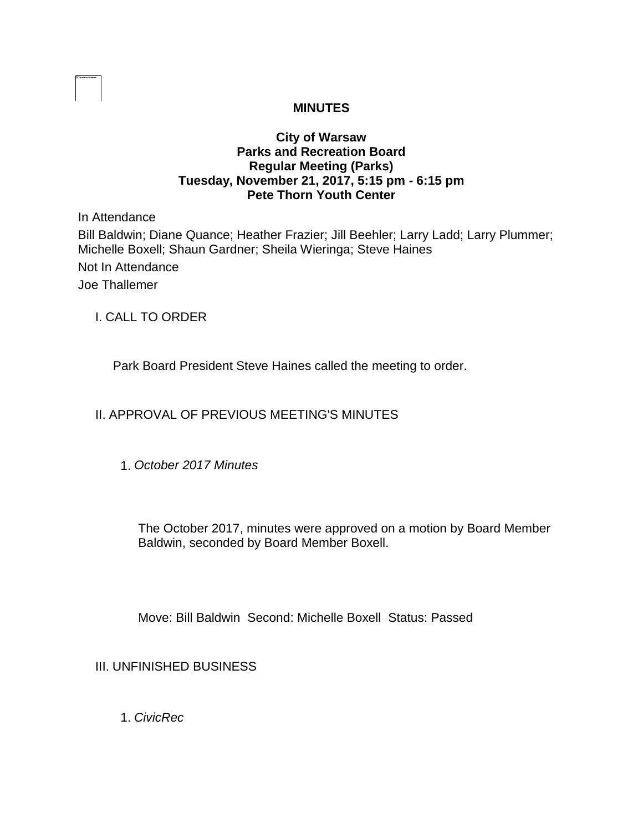# **MINUTES**

### **City of Warsaw Parks and Recreation Board Regular Meeting (Parks) Tuesday, November 21, 2017, 5:15 pm - 6:15 pm Pete Thorn Youth Center**

In Attendance

Bill Baldwin; Diane Quance; Heather Frazier; Jill Beehler; Larry Ladd; Larry Plummer; Michelle Boxell; Shaun Gardner; Sheila Wieringa; Steve Haines Not In Attendance Joe Thallemer

I. CALL TO ORDER

Park Board President Steve Haines called the meeting to order.

# II. APPROVAL OF PREVIOUS MEETING'S MINUTES

1. *October 2017 Minutes* 

The October 2017, minutes were approved on a motion by Board Member Baldwin, seconded by Board Member Boxell.

Move: Bill Baldwin Second: Michelle Boxell Status: Passed

III. UNFINISHED BUSINESS

1. *CivicRec*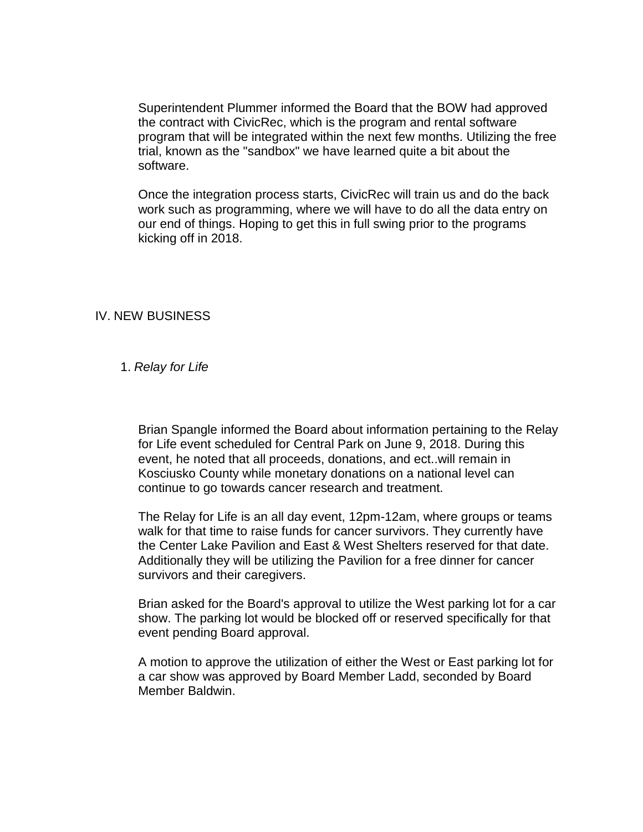Superintendent Plummer informed the Board that the BOW had approved the contract with CivicRec, which is the program and rental software program that will be integrated within the next few months. Utilizing the free trial, known as the "sandbox" we have learned quite a bit about the software.

Once the integration process starts, CivicRec will train us and do the back work such as programming, where we will have to do all the data entry on our end of things. Hoping to get this in full swing prior to the programs kicking off in 2018.

### IV. NEW BUSINESS

### 1. *Relay for Life*

Brian Spangle informed the Board about information pertaining to the Relay for Life event scheduled for Central Park on June 9, 2018. During this event, he noted that all proceeds, donations, and ect..will remain in Kosciusko County while monetary donations on a national level can continue to go towards cancer research and treatment.

The Relay for Life is an all day event, 12pm-12am, where groups or teams walk for that time to raise funds for cancer survivors. They currently have the Center Lake Pavilion and East & West Shelters reserved for that date. Additionally they will be utilizing the Pavilion for a free dinner for cancer survivors and their caregivers.

Brian asked for the Board's approval to utilize the West parking lot for a car show. The parking lot would be blocked off or reserved specifically for that event pending Board approval.

A motion to approve the utilization of either the West or East parking lot for a car show was approved by Board Member Ladd, seconded by Board Member Baldwin.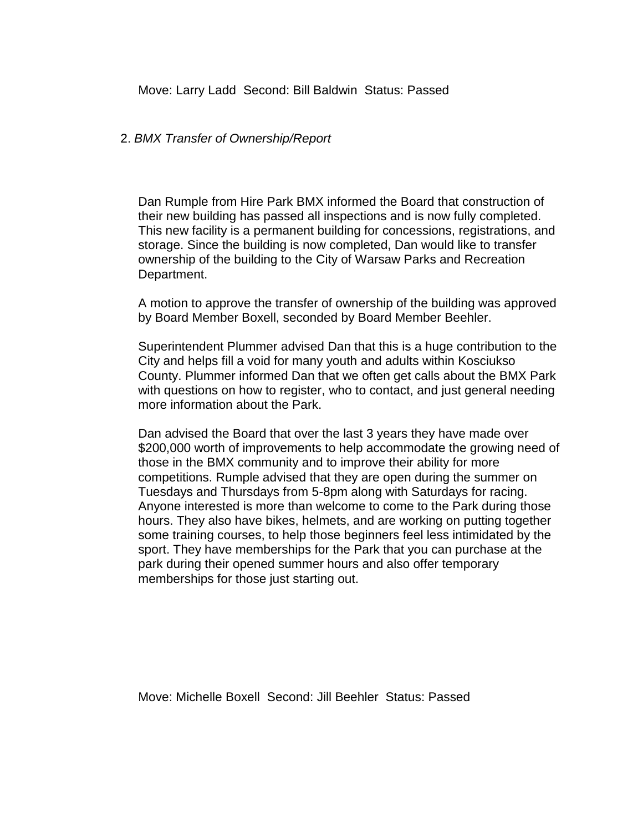Move: Larry Ladd Second: Bill Baldwin Status: Passed

#### 2. *BMX Transfer of Ownership/Report*

Dan Rumple from Hire Park BMX informed the Board that construction of their new building has passed all inspections and is now fully completed. This new facility is a permanent building for concessions, registrations, and storage. Since the building is now completed, Dan would like to transfer ownership of the building to the City of Warsaw Parks and Recreation Department.

A motion to approve the transfer of ownership of the building was approved by Board Member Boxell, seconded by Board Member Beehler.

Superintendent Plummer advised Dan that this is a huge contribution to the City and helps fill a void for many youth and adults within Kosciukso County. Plummer informed Dan that we often get calls about the BMX Park with questions on how to register, who to contact, and just general needing more information about the Park.

Dan advised the Board that over the last 3 years they have made over \$200,000 worth of improvements to help accommodate the growing need of those in the BMX community and to improve their ability for more competitions. Rumple advised that they are open during the summer on Tuesdays and Thursdays from 5-8pm along with Saturdays for racing. Anyone interested is more than welcome to come to the Park during those hours. They also have bikes, helmets, and are working on putting together some training courses, to help those beginners feel less intimidated by the sport. They have memberships for the Park that you can purchase at the park during their opened summer hours and also offer temporary memberships for those just starting out.

Move: Michelle Boxell Second: Jill Beehler Status: Passed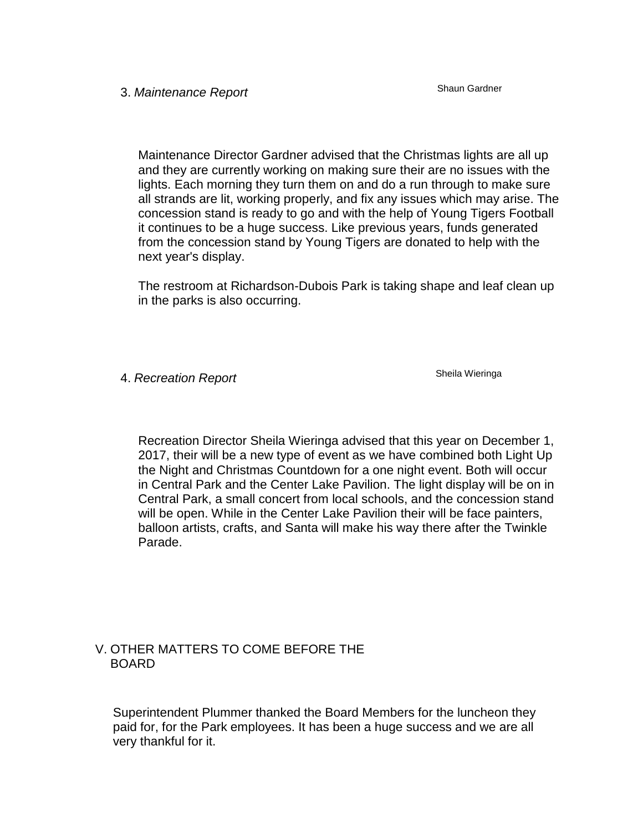Maintenance Director Gardner advised that the Christmas lights are all up and they are currently working on making sure their are no issues with the lights. Each morning they turn them on and do a run through to make sure all strands are lit, working properly, and fix any issues which may arise. The concession stand is ready to go and with the help of Young Tigers Football it continues to be a huge success. Like previous years, funds generated from the concession stand by Young Tigers are donated to help with the next year's display.

The restroom at Richardson-Dubois Park is taking shape and leaf clean up in the parks is also occurring.

4. *Recreation Report* Sheila Wieringa

Recreation Director Sheila Wieringa advised that this year on December 1, 2017, their will be a new type of event as we have combined both Light Up the Night and Christmas Countdown for a one night event. Both will occur in Central Park and the Center Lake Pavilion. The light display will be on in Central Park, a small concert from local schools, and the concession stand will be open. While in the Center Lake Pavilion their will be face painters, balloon artists, crafts, and Santa will make his way there after the Twinkle Parade.

# V. OTHER MATTERS TO COME BEFORE THE BOARD

Superintendent Plummer thanked the Board Members for the luncheon they paid for, for the Park employees. It has been a huge success and we are all very thankful for it.